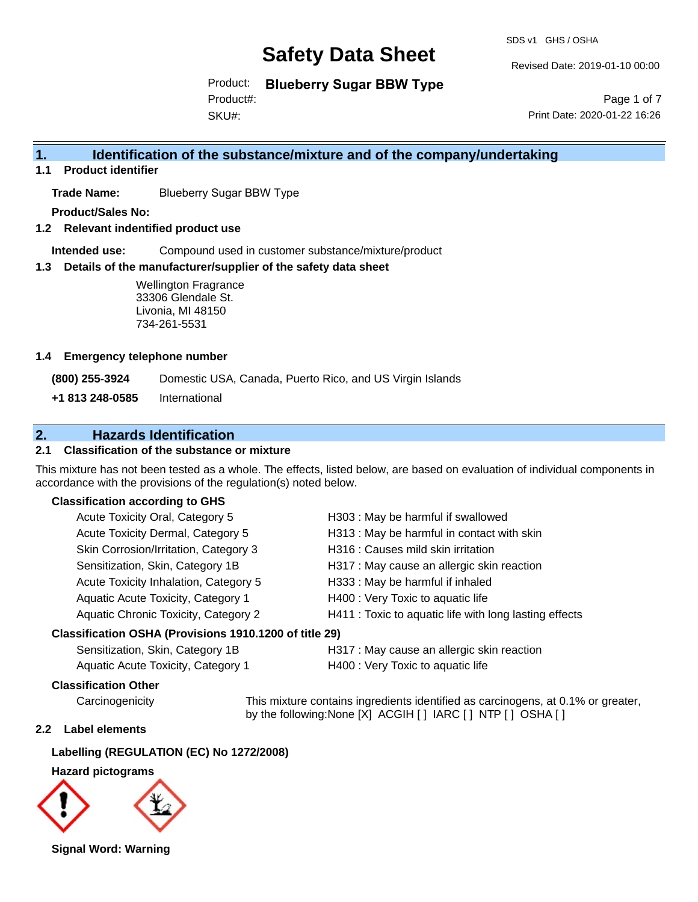SDS v1 GHS / OSHA

Revised Date: 2019-01-10 00:00

Product: **Blueberry Sugar BBW Type**

SKU#: Product#:

Page 1 of 7 Print Date: 2020-01-22 16:26

## **1. Identification of the substance/mixture and of the company/undertaking**

**1.1 Product identifier**

**Trade Name:** Blueberry Sugar BBW Type

**Product/Sales No:**

**1.2 Relevant indentified product use**

**Intended use:** Compound used in customer substance/mixture/product

#### **1.3 Details of the manufacturer/supplier of the safety data sheet**

#### **1.4 Emergency telephone number**

## **2. Hazards Identification**

### **2.1 Classification of the substance or mixture**

This mixture has not been tested as a whole. The effects, listed below, are based on evaluation of individual components in accordance with the provisions of the regulation(s) noted below.

#### **Classification according to GHS**

|                                                                | <b>Wellington Fragrance</b><br>33306 Glendale St.<br>Livonia, MI 48150<br>734-261-5531 |                                                                                                                                        |
|----------------------------------------------------------------|----------------------------------------------------------------------------------------|----------------------------------------------------------------------------------------------------------------------------------------|
| <b>Emergency telephone number</b>                              |                                                                                        |                                                                                                                                        |
| (800) 255-3924                                                 |                                                                                        | Domestic USA, Canada, Puerto Rico, and US Virgin Islands                                                                               |
| +1 813 248-0585                                                | International                                                                          |                                                                                                                                        |
|                                                                | <b>Hazards Identification</b>                                                          |                                                                                                                                        |
|                                                                | <b>Classification of the substance or mixture</b>                                      |                                                                                                                                        |
| cordance with the provisions of the regulation(s) noted below. |                                                                                        | s mixture has not been tested as a whole. The effects, listed below, are based on evaluation of individual (                           |
| <b>Classification according to GHS</b>                         |                                                                                        |                                                                                                                                        |
|                                                                | Acute Toxicity Oral, Category 5                                                        | H303 : May be harmful if swallowed                                                                                                     |
|                                                                | Acute Toxicity Dermal, Category 5                                                      | H313 : May be harmful in contact with skin                                                                                             |
|                                                                | Skin Corrosion/Irritation, Category 3                                                  | H316 : Causes mild skin irritation                                                                                                     |
|                                                                | Sensitization, Skin, Category 1B                                                       | H317 : May cause an allergic skin reaction                                                                                             |
| Acute Toxicity Inhalation, Category 5                          |                                                                                        | H333: May be harmful if inhaled                                                                                                        |
| Aquatic Acute Toxicity, Category 1                             |                                                                                        | H400 : Very Toxic to aquatic life                                                                                                      |
| Aquatic Chronic Toxicity, Category 2                           |                                                                                        | H411 : Toxic to aquatic life with long lasting effects                                                                                 |
| Classification OSHA (Provisions 1910.1200 of title 29)         |                                                                                        |                                                                                                                                        |
| Sensitization, Skin, Category 1B                               |                                                                                        | H317 : May cause an allergic skin reaction                                                                                             |
| Aquatic Acute Toxicity, Category 1                             |                                                                                        | H400 : Very Toxic to aquatic life                                                                                                      |
| <b>Classification Other</b>                                    |                                                                                        |                                                                                                                                        |
| Carcinogenicity                                                |                                                                                        | This mixture contains ingredients identified as carcinogens, at 0.1%<br>by the following: None [X] ACGIH [ ] IARC [ ] NTP [ ] OSHA [ ] |
| Label elements                                                 |                                                                                        |                                                                                                                                        |
| Labelling (REGULATION (EC) No 1272/2008)                       |                                                                                        |                                                                                                                                        |
| <b>Hazard pictograms</b>                                       |                                                                                        |                                                                                                                                        |
|                                                                |                                                                                        |                                                                                                                                        |
| Signal Word: Warning                                           |                                                                                        |                                                                                                                                        |

#### **Classification OSHA (Provisions 1910.1200 of title 29)**

| Sensitization, Skin, Category 1B   | H. |
|------------------------------------|----|
| Aquatic Acute Toxicity, Category 1 | H  |

#### **Classification Other**

Carcinogenicity This mixture contains ingredients identified as carcinogens, at 0.1% or greater, by the following:None [X] ACGIH [ ] IARC [ ] NTP [ ] OSHA [ ]

#### **2.2 Label elements**

### **Labelling (REGULATION (EC) No 1272/2008)**

#### **Hazard pictograms**

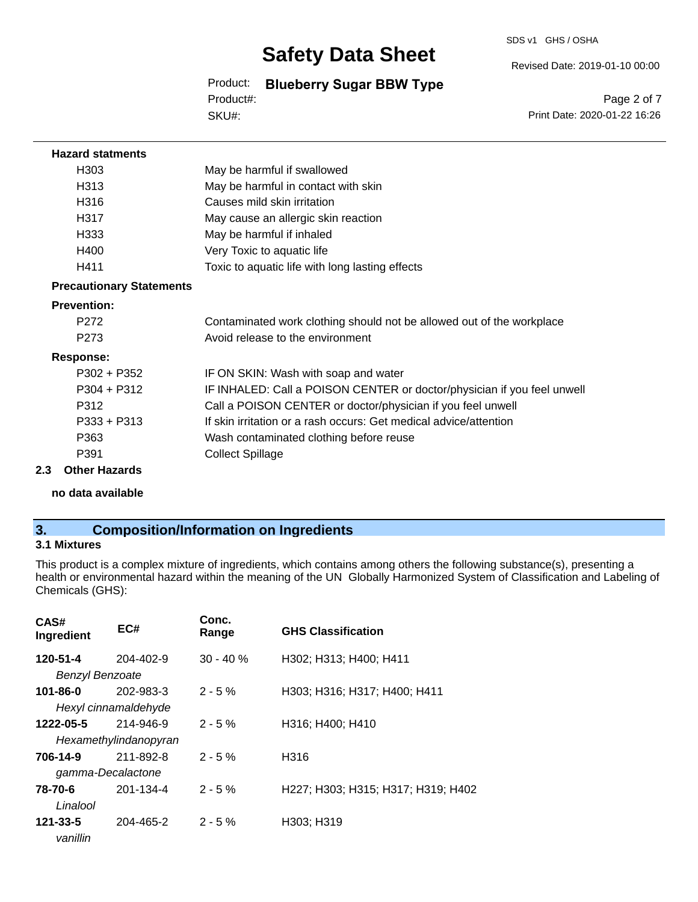#### SDS v1 GHS / OSHA

## **Safety Data Sheet**

Product: **Blueberry Sugar BBW Type** SKU#: Product#:

Page 2 of 7

Revised Date: 2019-01-10 00:00

Print Date: 2020-01-22 16:26

| <b>Hazard statments</b>         |                                                                         |
|---------------------------------|-------------------------------------------------------------------------|
| H <sub>303</sub>                | May be harmful if swallowed                                             |
| H313                            | May be harmful in contact with skin                                     |
| H316                            | Causes mild skin irritation                                             |
| H317                            | May cause an allergic skin reaction                                     |
| H333                            | May be harmful if inhaled                                               |
| H400                            | Very Toxic to aquatic life                                              |
| H411                            | Toxic to aquatic life with long lasting effects                         |
| <b>Precautionary Statements</b> |                                                                         |
| <b>Prevention:</b>              |                                                                         |
| P <sub>272</sub>                | Contaminated work clothing should not be allowed out of the workplace   |
| P <sub>273</sub>                | Avoid release to the environment                                        |
| <b>Response:</b>                |                                                                         |
| $P302 + P352$                   | IF ON SKIN: Wash with soap and water                                    |
| $P304 + P312$                   | IF INHALED: Call a POISON CENTER or doctor/physician if you feel unwell |
| P312                            | Call a POISON CENTER or doctor/physician if you feel unwell             |
| $P333 + P313$                   | If skin irritation or a rash occurs: Get medical advice/attention       |
| P363                            | Wash contaminated clothing before reuse                                 |
| P391                            | <b>Collect Spillage</b>                                                 |
| 2.3<br><b>Other Hazards</b>     |                                                                         |

**no data available**

## **3. Composition/Information on Ingredients**

### **3.1 Mixtures**

This product is a complex mixture of ingredients, which contains among others the following substance(s), presenting a health or environmental hazard within the meaning of the UN Globally Harmonized System of Classification and Labeling of Chemicals (GHS):

| CAS#<br>Ingredient     | EC#                   | Conc.<br>Range | <b>GHS Classification</b>          |
|------------------------|-----------------------|----------------|------------------------------------|
| 120-51-4               | 204-402-9             | $30 - 40%$     | H302; H313; H400; H411             |
| <b>Benzyl Benzoate</b> |                       |                |                                    |
| 101-86-0               | 202-983-3             | $2 - 5%$       | H303; H316; H317; H400; H411       |
|                        | Hexyl cinnamaldehyde  |                |                                    |
| 1222-05-5              | 214-946-9             | $2 - 5%$       | H316; H400; H410                   |
|                        | Hexamethylindanopyran |                |                                    |
| 706-14-9               | 211-892-8             | $2 - 5%$       | H316                               |
|                        | gamma-Decalactone     |                |                                    |
| 78-70-6                | 201-134-4             | $2 - 5%$       | H227; H303; H315; H317; H319; H402 |
| Linalool               |                       |                |                                    |
| 121-33-5<br>vanillin   | 204-465-2             | $2 - 5%$       | H303; H319                         |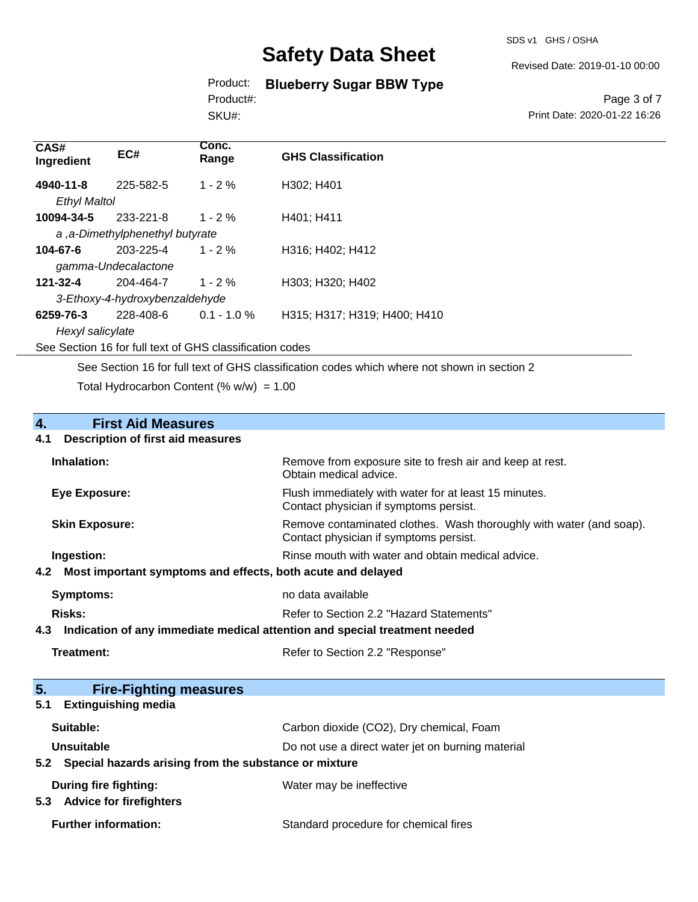SDS v1 GHS / OSHA

Revised Date: 2019-01-10 00:00

## Product: **Blueberry Sugar BBW Type**

Product#:

SKU#:

Page 3 of 7 Print Date: 2020-01-22 16:26

| CAS#<br>Ingredient  | EC#                             | Conc.<br>Range | <b>GHS Classification</b>    |  |
|---------------------|---------------------------------|----------------|------------------------------|--|
| 4940-11-8           | 225-582-5                       | $1 - 2%$       | H302; H401                   |  |
| <b>Ethyl Maltol</b> |                                 |                |                              |  |
| 10094-34-5          | 233-221-8                       | $1 - 2\%$      | H401: H411                   |  |
|                     | a, a-Dimethylphenethyl butyrate |                |                              |  |
| 104-67-6            | 203-225-4                       | $1 - 2%$       | H316; H402; H412             |  |
|                     | gamma-Undecalactone             |                |                              |  |
| 121-32-4            | 204-464-7                       | $1 - 2%$       | H303; H320; H402             |  |
|                     | 3-Ethoxy-4-hydroxybenzaldehyde  |                |                              |  |
| 6259-76-3           | 228-408-6                       | $0.1 - 1.0 \%$ | H315; H317; H319; H400; H410 |  |
| Hexyl salicylate    |                                 |                |                              |  |
|                     |                                 |                |                              |  |

See Section 16 for full text of GHS classification codes

See Section 16 for full text of GHS classification codes which where not shown in section 2

Total Hydrocarbon Content (%  $w/w$ ) = 1.00

# **4.** First Aid Measures<br>**4.1** Description of first aid meas

### **4.1 Description of first aid measures**

| Inhalation:           | Remove from exposure site to fresh air and keep at rest.<br>Obtain medical advice.                            |
|-----------------------|---------------------------------------------------------------------------------------------------------------|
| Eye Exposure:         | Flush immediately with water for at least 15 minutes.<br>Contact physician if symptoms persist.               |
| <b>Skin Exposure:</b> | Remove contaminated clothes. Wash thoroughly with water (and soap).<br>Contact physician if symptoms persist. |
| Ingestion:            | Rinse mouth with water and obtain medical advice.                                                             |
|                       | 4.2 Most important symptoms and effects, both acute and delayed                                               |
| Symptoms:             | no data available                                                                                             |
| Risks:                | Refer to Section 2.2 "Hazard Statements"                                                                      |

**4.3 Indication of any immediate medical attention and special treatment needed**

| Treatment: |
|------------|
|------------|

Refer to Section 2.2 "Response"

| 5.<br><b>Fire-Fighting measures</b>                       |                                                   |
|-----------------------------------------------------------|---------------------------------------------------|
| <b>Extinguishing media</b><br>5.1                         |                                                   |
| Suitable:                                                 | Carbon dioxide (CO2), Dry chemical, Foam          |
| Unsuitable                                                | Do not use a direct water jet on burning material |
| 5.2 Special hazards arising from the substance or mixture |                                                   |
| During fire fighting:                                     | Water may be ineffective                          |
| <b>Advice for firefighters</b><br>5.3                     |                                                   |
| <b>Further information:</b>                               | Standard procedure for chemical fires             |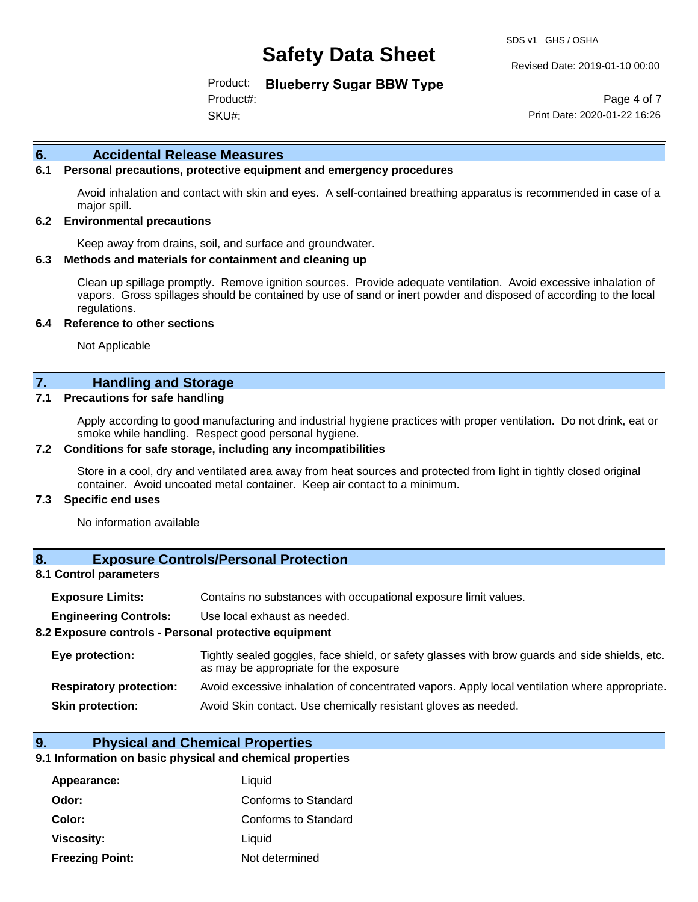SDS v1 GHS / OSHA

Revised Date: 2019-01-10 00:00

Product: **Blueberry Sugar BBW Type**

SKU#: Product#:

Page 4 of 7 Print Date: 2020-01-22 16:26

#### **6. Accidental Release Measures**

#### **6.1 Personal precautions, protective equipment and emergency procedures**

Avoid inhalation and contact with skin and eyes. A self-contained breathing apparatus is recommended in case of a major spill.

#### **6.2 Environmental precautions**

Keep away from drains, soil, and surface and groundwater.

#### **6.3 Methods and materials for containment and cleaning up**

Clean up spillage promptly. Remove ignition sources. Provide adequate ventilation. Avoid excessive inhalation of vapors. Gross spillages should be contained by use of sand or inert powder and disposed of according to the local regulations.

#### **6.4 Reference to other sections**

Not Applicable

### **7. Handling and Storage**

#### **7.1 Precautions for safe handling**

Apply according to good manufacturing and industrial hygiene practices with proper ventilation. Do not drink, eat or smoke while handling. Respect good personal hygiene.

#### **7.2 Conditions for safe storage, including any incompatibilities**

Store in a cool, dry and ventilated area away from heat sources and protected from light in tightly closed original container. Avoid uncoated metal container. Keep air contact to a minimum.

#### **7.3 Specific end uses**

No information available

### **8. Exposure Controls/Personal Protection**

#### **8.1 Control parameters**

| <b>Exposure Limits:</b> |  | Contains no substances with occupational exposure limit values. |  |  |  |
|-------------------------|--|-----------------------------------------------------------------|--|--|--|
|-------------------------|--|-----------------------------------------------------------------|--|--|--|

**Engineering Controls:** Use local exhaust as needed.

#### **8.2 Exposure controls - Personal protective equipment**

| Eye protection:                | Tightly sealed goggles, face shield, or safety glasses with brow guards and side shields, etc.<br>as may be appropriate for the exposure |
|--------------------------------|------------------------------------------------------------------------------------------------------------------------------------------|
| <b>Respiratory protection:</b> | Avoid excessive inhalation of concentrated vapors. Apply local ventilation where appropriate.                                            |
| <b>Skin protection:</b>        | Avoid Skin contact. Use chemically resistant gloves as needed.                                                                           |

#### **9. Physical and Chemical Properties**

#### **9.1 Information on basic physical and chemical properties**

| Appearance:            | Liquid               |
|------------------------|----------------------|
| Odor:                  | Conforms to Standard |
| Color:                 | Conforms to Standard |
| Viscosity:             | Liquid               |
| <b>Freezing Point:</b> | Not determined       |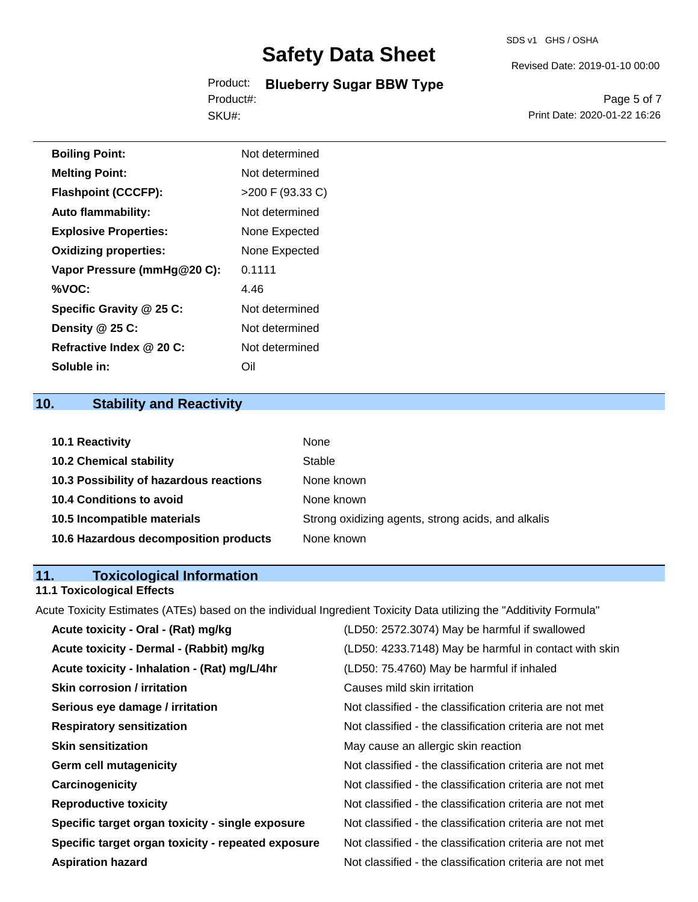Product: **Blueberry Sugar BBW Type** SKU#: Product#:

Revised Date: 2019-01-10 00:00

Page 5 of 7 Print Date: 2020-01-22 16:26

| <b>Boiling Point:</b>        | Not determined   |
|------------------------------|------------------|
| <b>Melting Point:</b>        | Not determined   |
| <b>Flashpoint (CCCFP):</b>   | >200 F (93.33 C) |
| <b>Auto flammability:</b>    | Not determined   |
| <b>Explosive Properties:</b> | None Expected    |
| <b>Oxidizing properties:</b> | None Expected    |
| Vapor Pressure (mmHg@20 C):  | 0.1111           |
| %VOC:                        | 4.46             |
| Specific Gravity @ 25 C:     | Not determined   |
| Density $@25C$ :             | Not determined   |
| Refractive Index @ 20 C:     | Not determined   |
| Soluble in:                  | Oil              |

## **10. Stability and Reactivity**

| <b>10.1 Reactivity</b>                  | <b>None</b>                                        |
|-----------------------------------------|----------------------------------------------------|
| <b>10.2 Chemical stability</b>          | Stable                                             |
| 10.3 Possibility of hazardous reactions | None known                                         |
| <b>10.4 Conditions to avoid</b>         | None known                                         |
| 10.5 Incompatible materials             | Strong oxidizing agents, strong acids, and alkalis |
| 10.6 Hazardous decomposition products   | None known                                         |

## **11. Toxicological Information**

## **11.1 Toxicological Effects**

Acute Toxicity Estimates (ATEs) based on the individual Ingredient Toxicity Data utilizing the "Additivity Formula"

| Acute toxicity - Oral - (Rat) mg/kg                | (LD50: 2572.3074) May be harmful if swallowed            |
|----------------------------------------------------|----------------------------------------------------------|
| Acute toxicity - Dermal - (Rabbit) mg/kg           | (LD50: 4233.7148) May be harmful in contact with skin    |
| Acute toxicity - Inhalation - (Rat) mg/L/4hr       | (LD50: 75.4760) May be harmful if inhaled                |
| <b>Skin corrosion / irritation</b>                 | Causes mild skin irritation                              |
| Serious eye damage / irritation                    | Not classified - the classification criteria are not met |
| <b>Respiratory sensitization</b>                   | Not classified - the classification criteria are not met |
| <b>Skin sensitization</b>                          | May cause an allergic skin reaction                      |
| <b>Germ cell mutagenicity</b>                      | Not classified - the classification criteria are not met |
| Carcinogenicity                                    | Not classified - the classification criteria are not met |
| <b>Reproductive toxicity</b>                       | Not classified - the classification criteria are not met |
| Specific target organ toxicity - single exposure   | Not classified - the classification criteria are not met |
| Specific target organ toxicity - repeated exposure | Not classified - the classification criteria are not met |
| <b>Aspiration hazard</b>                           | Not classified - the classification criteria are not met |
|                                                    |                                                          |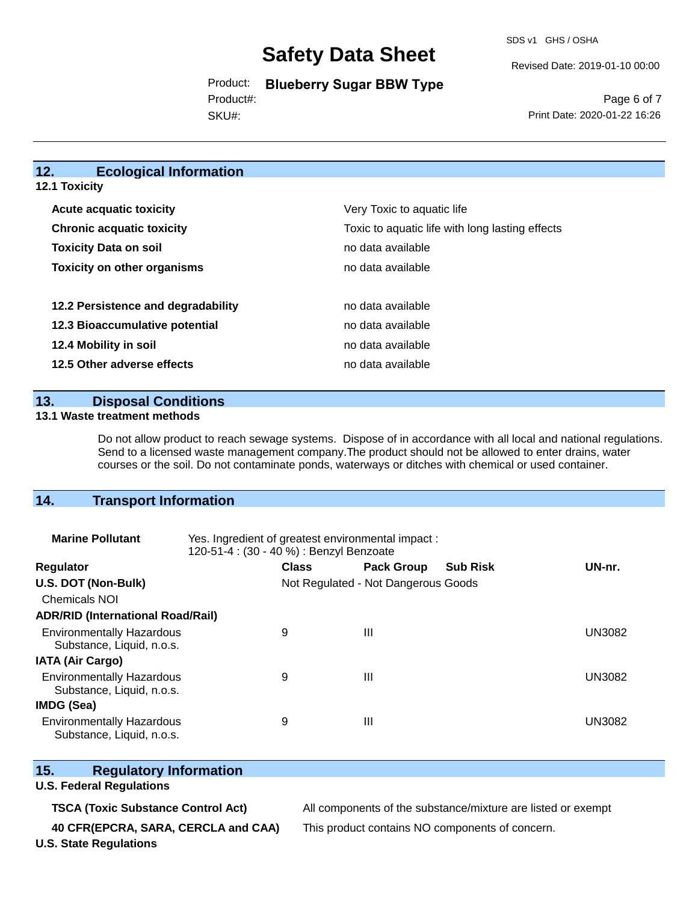SDS v1 GHS / OSHA

Revised Date: 2019-01-10 00:00

Product: **Blueberry Sugar BBW Type** Product#:

SKU#:

Page 6 of 7 Print Date: 2020-01-22 16:26

#### **12. Ecological Information 12.1 Toxicity**

| <b>Acute acquatic toxicity</b>     | Very Toxic to aquatic life                      |  |  |  |
|------------------------------------|-------------------------------------------------|--|--|--|
| <b>Chronic acquatic toxicity</b>   | Toxic to aquatic life with long lasting effects |  |  |  |
| <b>Toxicity Data on soil</b>       | no data available                               |  |  |  |
| <b>Toxicity on other organisms</b> | no data available                               |  |  |  |
|                                    |                                                 |  |  |  |
| 12.2 Persistence and degradability | no data available                               |  |  |  |
| 12.3 Bioaccumulative potential     | no data available                               |  |  |  |
| 12.4 Mobility in soil              | no data available                               |  |  |  |
| 12.5 Other adverse effects         | no data available                               |  |  |  |

**13. Disposal Conditions** 

#### **13.1 Waste treatment methods**

Do not allow product to reach sewage systems. Dispose of in accordance with all local and national regulations. Send to a licensed waste management company.The product should not be allowed to enter drains, water courses or the soil. Do not contaminate ponds, waterways or ditches with chemical or used container.

## **14. Transport Information**

| <b>Marine Pollutant</b>                                       | Yes. Ingredient of greatest environmental impact:<br>120-51-4 : (30 - 40 %) : Benzyl Benzoate |              |                                     |                 |               |
|---------------------------------------------------------------|-----------------------------------------------------------------------------------------------|--------------|-------------------------------------|-----------------|---------------|
| <b>Regulator</b>                                              |                                                                                               | <b>Class</b> | <b>Pack Group</b>                   | <b>Sub Risk</b> | UN-nr.        |
| U.S. DOT (Non-Bulk)                                           |                                                                                               |              | Not Regulated - Not Dangerous Goods |                 |               |
| <b>Chemicals NOI</b>                                          |                                                                                               |              |                                     |                 |               |
| <b>ADR/RID (International Road/Rail)</b>                      |                                                                                               |              |                                     |                 |               |
| <b>Environmentally Hazardous</b><br>Substance, Liquid, n.o.s. |                                                                                               | 9            | Ш                                   |                 | <b>UN3082</b> |
| <b>IATA (Air Cargo)</b>                                       |                                                                                               |              |                                     |                 |               |
| <b>Environmentally Hazardous</b><br>Substance, Liquid, n.o.s. |                                                                                               | 9            | Ш                                   |                 | <b>UN3082</b> |
| <b>IMDG (Sea)</b>                                             |                                                                                               |              |                                     |                 |               |
| <b>Environmentally Hazardous</b><br>Substance, Liquid, n.o.s. |                                                                                               | 9            | Ш                                   |                 | UN3082        |

### **15. Regulatory Information**

#### **U.S. Federal Regulations**

**TSCA (Toxic Substance Control Act)** All components of the substance/mixture are listed or exempt

**40 CFR(EPCRA, SARA, CERCLA and CAA)** This product contains NO components of concern.

**U.S. State Regulations**